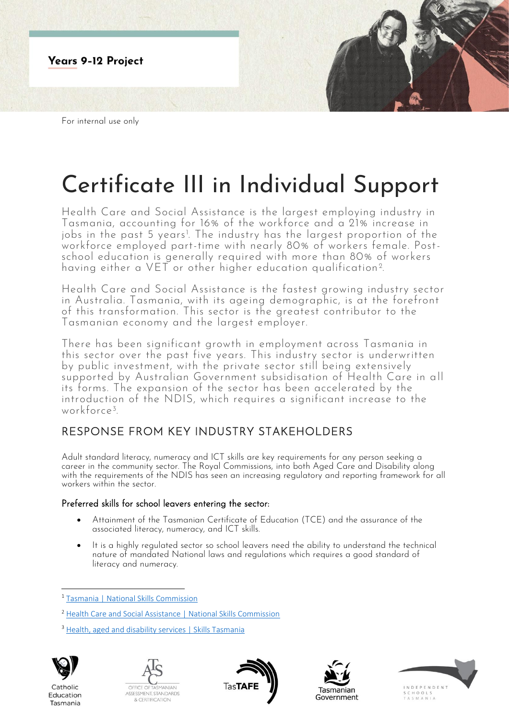

For internal use only

# Certificate III in Individual Support

Health Care and Social Assistance is the largest employing industry in Tasmania, accounting for 16% of the workforce and a 21% increase in jobs in the past 5 years<sup>1</sup>. The industry has the largest proportion of the workforce employed part-time with nearly 80% of workers female. Postschool education is generally required with more than 80% of workers having either a VET or other higher education qualification<sup>2</sup>. .

Health Care and Social Assistance is the fastest growing industry sector in Australia. Tasmania, with its ageing demographic, is at the forefront of this transformation. This sector is the greatest contributor to the Tasmanian economy and the largest employer.

There has been significant growth in employment across Tasmania in this sector over the past five years. This industry sector is underwritten by public investment, with the private sector still being extensively supported by Australian Government subsidisation of Health Care in all its forms. The expansion of the sector has been accelerated by the introduction of the NDIS, which requires a significant increase to the workforce<sup>3</sup> .

# RESPONSE FROM KEY INDUSTRY STAKEHOLDERS

Adult standard literacy, numeracy and ICT skills are key requirements for any person seeking a career in the community sector. The Royal Commissions, into both Aged Care and Disability along with the requirements of the NDIS has seen an increasing regulatory and reporting framework for all workers within the sector.

## Preferred skills for school leavers entering the sector:

- Attainment of the Tasmanian Certificate of Education (TCE) and the assurance of the associated literacy, numeracy, and ICT skills.
- It is a highly regulated sector so school leavers need the ability to understand the technical nature of mandated National laws and regulations which requires a good standard of literacy and numeracy.

<sup>&</sup>lt;sup>3</sup> [Health, aged and disability services | Skills Tasmania](https://www.skills.tas.gov.au/about/the_tasmanian_workforce/industry_information_and_profiles/health,_aged_and_disability_services)



Catholic

Education

Tasmania









<sup>1</sup> [Tasmania | National Skills Commission](https://www.nationalskillscommission.gov.au/tasmania-0)

<sup>2</sup> [Health Care and Social Assistance | National Skills Commission](https://www.nationalskillscommission.gov.au/health-care-and-social-assistance-0)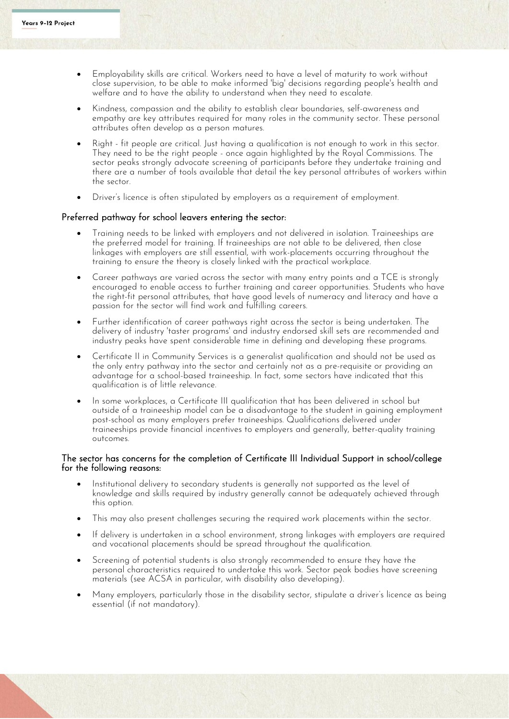- Employability skills are critical. Workers need to have a level of maturity to work without close supervision, to be able to make informed 'big' decisions regarding people's health and welfare and to have the ability to understand when they need to escalate.
- Kindness, compassion and the ability to establish clear boundaries, self-awareness and empathy are key attributes required for many roles in the community sector. These personal attributes often develop as a person matures.
- Right fit people are critical. Just having a qualification is not enough to work in this sector. They need to be the right people - once again highlighted by the Royal Commissions. The sector peaks strongly advocate screening of participants before they undertake training and there are a number of tools available that detail the key personal attributes of workers within the sector.
- Driver's licence is often stipulated by employers as a requirement of employment.

#### Preferred pathway for school leavers entering the sector:

- Training needs to be linked with employers and not delivered in isolation. Traineeships are the preferred model for training. If traineeships are not able to be delivered, then close linkages with employers are still essential, with work-placements occurring throughout the training to ensure the theory is closely linked with the practical workplace.
- Career pathways are varied across the sector with many entry points and a TCE is strongly encouraged to enable access to further training and career opportunities. Students who have the right-fit personal attributes, that have good levels of numeracy and literacy and have a passion for the sector will find work and fulfilling careers.
- Further identification of career pathways right across the sector is being undertaken. The delivery of industry 'taster programs' and industry endorsed skill sets are recommended and industry peaks have spent considerable time in defining and developing these programs.
- Certificate II in Community Services is a generalist qualification and should not be used as the only entry pathway into the sector and certainly not as a pre-requisite or providing an advantage for a school-based traineeship. In fact, some sectors have indicated that this qualification is of little relevance.
- In some workplaces, a Certificate III qualification that has been delivered in school but outside of a traineeship model can be a disadvantage to the student in gaining employment post-school as many employers prefer traineeships. Qualifications delivered under traineeships provide financial incentives to employers and generally, better-quality training outcomes.

### The sector has concerns for the completion of Certificate III Individual Support in school/college for the following reasons:

- Institutional delivery to secondary students is generally not supported as the level of knowledge and skills required by industry generally cannot be adequately achieved through this option.
- This may also present challenges securing the required work placements within the sector.
- If delivery is undertaken in a school environment, strong linkages with employers are required and vocational placements should be spread throughout the qualification.
- Screening of potential students is also strongly recommended to ensure they have the personal characteristics required to undertake this work. Sector peak bodies have screening materials (see ACSA in particular, with disability also developing).
- Many employers, particularly those in the disability sector, stipulate a driver's licence as being essential (if not mandatory).